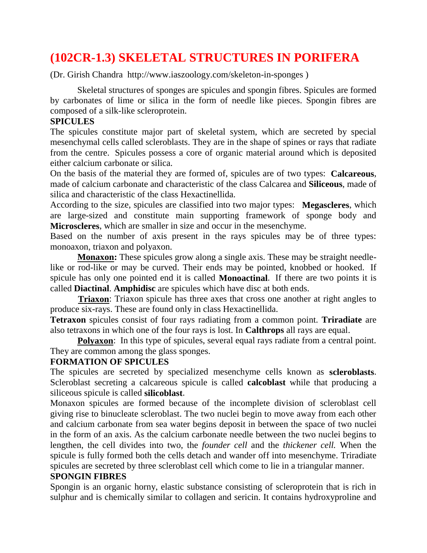# **(102CR-1.3) SKELETAL STRUCTURES IN PORIFERA**

(Dr. Girish Chandra http://www.iaszoology.com/skeleton-in-sponges )

 Skeletal structures of sponges are spicules and spongin fibres. Spicules are formed by carbonates of lime or silica in the form of needle like pieces. Spongin fibres are composed of a silk-like scleroprotein.

#### **SPICULES**

The spicules constitute major part of skeletal system, which are secreted by special mesenchymal cells called scleroblasts. They are in the shape of spines or rays that radiate from the centre. Spicules possess a core of organic material around which is deposited either calcium carbonate or silica.

On the basis of the material they are formed of, spicules are of two types: **Calcareous**, made of calcium carbonate and characteristic of the class Calcarea and **Siliceous**, made of silica and characteristic of the class Hexactinellida.

According to the size, spicules are classified into two major types: **Megascleres**, which are large-sized and constitute main supporting framework of sponge body and **Microscleres**, which are smaller in size and occur in the mesenchyme.

Based on the number of axis present in the rays spicules may be of three types: monoaxon, triaxon and polyaxon.

**Monaxon:** These spicules grow along a single axis. These may be straight needlelike or rod-like or may be curved. Their ends may be pointed, knobbed or hooked. If spicule has only one pointed end it is called **Monoactinal**. If there are two points it is called **Diactinal**. **Amphidisc** are spicules which have disc at both ends.

 **Triaxon**: Triaxon spicule has three axes that cross one another at right angles to produce six-rays. These are found only in class Hexactinellida.

**Tetraxon** spicules consist of four rays radiating from a common point. **Triradiate** are also tetraxons in which one of the four rays is lost. In **Calthrops** all rays are equal.

**Polyaxon**: In this type of spicules, several equal rays radiate from a central point. They are common among the glass sponges.

### **FORMATION OF SPICULES**

The spicules are secreted by specialized mesenchyme cells known as **scleroblasts**. Scleroblast secreting a calcareous spicule is called **calcoblast** while that producing a siliceous spicule is called **silicoblast**.

Monaxon spicules are formed because of the incomplete division of scleroblast cell giving rise to binucleate scleroblast. The two nuclei begin to move away from each other and calcium carbonate from sea water begins deposit in between the space of two nuclei in the form of an axis. As the calcium carbonate needle between the two nuclei begins to lengthen, the cell divides into two, the *founder cell* and the *thickener cell.* When the spicule is fully formed both the cells detach and wander off into mesenchyme. Triradiate spicules are secreted by three scleroblast cell which come to lie in a triangular manner.

### **SPONGIN FIBRES**

Spongin is an organic horny, elastic substance consisting of scleroprotein that is rich in sulphur and is chemically similar to collagen and sericin. It contains hydroxyproline and